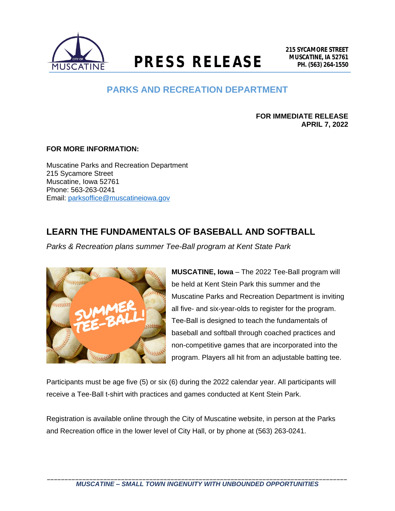

**MUSCATINE, IA 52761 PRESS RELEASE PH. (563) 264-1550**

## **PARKS AND RECREATION DEPARTMENT**

**FOR IMMEDIATE RELEASE APRIL 7, 2022**

## **FOR MORE INFORMATION:**

Muscatine Parks and Recreation Department 215 Sycamore Street Muscatine, Iowa 52761 Phone: 563-263-0241 Email: [parksoffice@muscatineiowa.gov](mailto:parksoffice@muscatineiowa.gov)

## **LEARN THE FUNDAMENTALS OF BASEBALL AND SOFTBALL**

*Parks & Recreation plans summer Tee-Ball program at Kent State Park*



**MUSCATINE, Iowa** – The 2022 Tee-Ball program will be held at Kent Stein Park this summer and the Muscatine Parks and Recreation Department is inviting all five- and six-year-olds to register for the program. Tee-Ball is designed to teach the fundamentals of baseball and softball through coached practices and non-competitive games that are incorporated into the program. Players all hit from an adjustable batting tee.

Participants must be age five (5) or six (6) during the 2022 calendar year. All participants will receive a Tee-Ball t-shirt with practices and games conducted at Kent Stein Park.

Registration is available online through the City of Muscatine website, in person at the Parks and Recreation office in the lower level of City Hall, or by phone at (563) 263-0241.